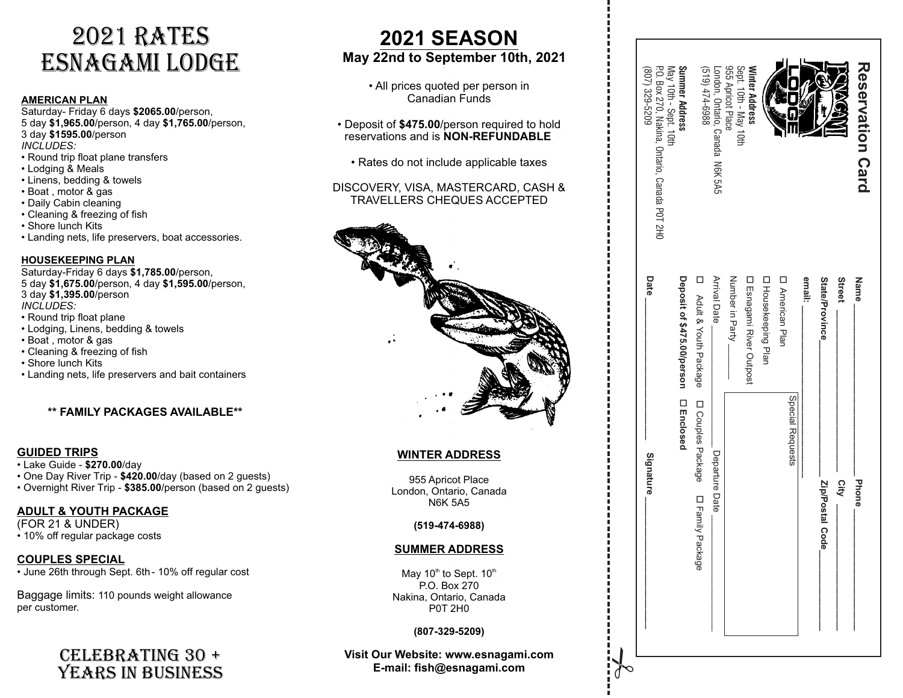# 2021 RATES ESNAGAMI LODGE

#### **AMERICAN PLAN**

Saturday- Friday 6 days **\$2065.00**/person, 5 day **\$1,965.00**/person, 4 day **\$1,765.00**/person, 3 day **\$1595.00**/person *INCLUDES:* 

- Round trip float plane transfers
- Lodging & Meals
- Linens, bedding & towels
- Boat , motor & gas
- Daily Cabin cleaning
- Cleaning & freezing of fish
- Shore lunch Kits
- Landing nets, life preservers, boat accessories.

#### **HOUSEKEEPING PLAN**

Saturday-Friday 6 days **\$1,785.00**/person, 5 day **\$1,675.00**/person, 4 day **\$1,595.00**/person, 3 day **\$1,395.00**/person *INCLUDES:* 

• Round trip float plane

- Lodging, Linens, bedding & towels
- Boat , motor & gas
- Cleaning & freezing of fish
- Shore lunch Kits
- Landing nets, life preservers and bait containers

#### **\*\* FAMILY PACKAGES AVAILABLE\*\***

#### **GUIDED TRIPS**

- Lake Guide **\$270.00**/day
- One Day River Trip **\$420.00**/day (based on 2 guests)
- Overnight River Trip **\$385.00**/person (based on 2 guests)

#### **ADULT & YOUTH PACKAGE**

(FOR 21 & UNDER) • 10% off regular package costs

**COUPLES SPECIAL** • June 26th through Sept. 6th - 10% off regular cost

Baggage limits: 110 pounds weight allowance per customer.

### CELEBRATING 30 +<br>YEARS IN BUSINESS CELEBRATING 30 + Visit Our Website: www.esnagami.com  $\bigcup_{i} \bigcup_{j}$

### **2021 SEASON May 22nd to September 10th, 2021**

• All prices quoted per person in Canadian Funds

- Deposit of **\$475.00**/person required to hold reservations and is **NON-REFUNDABLE**
	- Rates do not include applicable taxes

#### DISCOVERY, VISA, MASTERCARD, CASH & TRAVELLERS CHEQUES ACCEPTED



#### **WINTER ADDRESS**

955 Apricot Place London, Ontario, Canada N6K 5A5

#### **(519-474-6988)**

#### **SUMMER ADDRESS**

May 10<sup>th</sup> to Sept.  $10<sup>th</sup>$ P.O. Box 270 Nakina, Ontario, Canada P0T 2H0

#### **(807-329-5209)**

# **E-mail: fish@esnagami.com**

| PO. Box 270, Nakina, Ontario, Canada POT 2H0<br>607) 329-5209 | May 10th - Sept. 10th<br>Summer Address | 8869-tzt (619)                         | London, Ontario, Canada N6K 5A5 | Sept. 10th - May 10th<br>955 Apricot Place | <b>Winter Address</b>           |                     |                        |        |                 | <b>NAXGAI</b> | Reservation Card |
|---------------------------------------------------------------|-----------------------------------------|----------------------------------------|---------------------------------|--------------------------------------------|---------------------------------|---------------------|------------------------|--------|-----------------|---------------|------------------|
| Date                                                          | Deposit of \$475.00/person              | D<br>Adult & Youth Package             | <b>Arrival Date</b>             | Number in Party                            | <b>D</b> Esnagami River Outpost | D Housekeeping Plan | <b>D</b> American Plan | email: | State/Province  | <b>Street</b> | Name             |
| Signature                                                     | □ Enclosed                              | D Couples Package D Family Pack<br>age | Departure Date                  |                                            |                                 |                     | Special Requests       |        | Zip/Postal Code | City          | <b>Phone</b>     |